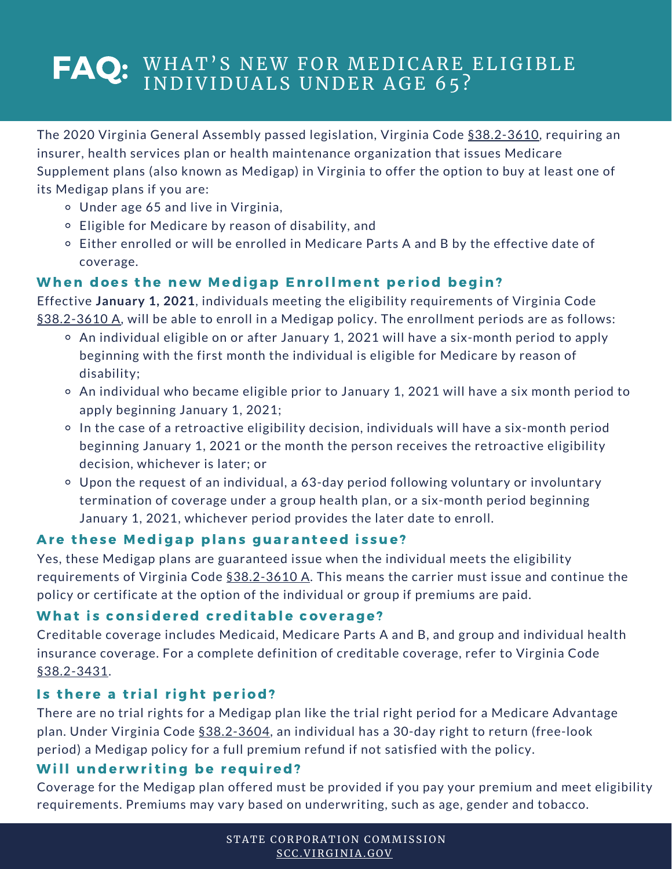# FAQ: WHAT'S NEW FOR MEDICARE ELIGIBLE INDIVIDUALS UNDER AGE 65?

The 2020 Virginia General Assembly passed legislation, Virginia Code [§38.2-3610](https://law.lis.virginia.gov/vacode/title38.2/chapter36/section38.2-3610/), requiring an insurer, health services plan or health maintenance organization that issues Medicare Supplement plans (also known as Medigap) in Virginia to offer the option to buy at least one of its Medigap plans if you are:

- Under age 65 and live in Virginia,
- Eligible for Medicare by reason of disability, and
- $\circ$  Either enrolled or will be enrolled in Medicare Parts A and B by the effective date of coverage.

# When does the new Medigap Enrollment period begin?

Effective **January 1, 2021**, individuals meeting the eligibility requirements of Virginia Code [§38.2-3610](https://law.lis.virginia.gov/vacode/title38.2/chapter36/section38.2-3610/) A, will be able to enroll in a Medigap policy. The enrollment periods are as follows:

- An individual eligible on or after January 1, 2021 will have a six-month period to apply beginning with the first month the individual is eligible for Medicare by reason of disability;
- An individual who became eligible prior to January 1, 2021 will have a six month period to apply beginning January 1, 2021;
- In the case of a retroactive eligibility decision, individuals will have a six-month period beginning January 1, 2021 or the month the person receives the retroactive eligibility decision, whichever is later; or
- Upon the request of an individual, a 63-day period following voluntary or involuntary termination of coverage under a group health plan, or a six-month period beginning January 1, 2021, whichever period provides the later date to enroll.

# Are these Medigap plans guaranteed issue?

Yes, these Medigap plans are guaranteed issue when the individual meets the eligibility requirements of Virginia Code [§38.2-3610](https://law.lis.virginia.gov/vacode/title38.2/chapter36/section38.2-3610/) A. This means the carrier must issue and continue the policy or certificate at the option of the individual or group if premiums are paid.

# What is considered creditable coverage?

Creditable coverage includes Medicaid, Medicare Parts A and B, and group and individual health insurance coverage. For a complete definition of creditable coverage, refer to Virginia Code [§38.2-3431.](https://law.lis.virginia.gov/vacode/38.2-3431/)

# Is there a trial right period?

There are no trial rights for a Medigap plan like the trial right period for a Medicare Advantage plan. Under Virginia Code [§38.2-3604](https://law.lis.virginia.gov/vacode/title38.2/chapter36/section38.2-3604/), an individual has a 30-day right to return (free-look period) a Medigap policy for a full premium refund if not satisfied with the policy.

# Will underwriting be required?

Coverage for the Medigap plan offered must be provided if you pay your premium and meet eligibility requirements. Premiums may vary based on underwriting, such as age, gender and tobacco.

> STATE CORPORATION COMMISSION [SCC.VI](https://scc.virginia.gov/)RGINIA.GOV